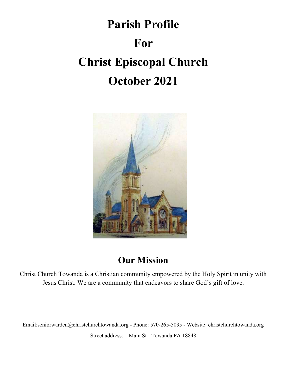# Parish Profile For Christ Episcopal Church October 2021



### Our Mission

Christ Church Towanda is a Christian community empowered by the Holy Spirit in unity with Jesus Christ. We are a community that endeavors to share God's gift of love.

Email:seniorwarden@christchurchtowanda.org - Phone: 570-265-5035 - Website: christchurchtowanda.org

Street address: 1 Main St - Towanda PA 18848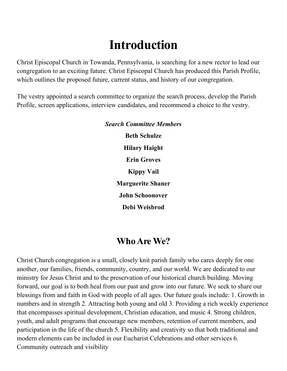## Introduction

Christ Episcopal Church in Towanda, Pennsylvania, is searching for a new rector to lead our congregation to an exciting future. Christ Episcopal Church has produced this Parish Profile, which outlines the proposed future, current status, and history of our congregation.

The vestry appointed a search committee to organize the search process, develop the Parish Profile, screen applications, interview candidates, and recommend a choice to the vestry.

> Search Committee Members Beth Schulze Hilary Haight Erin Groves Kippy Vail Marguerite Shaner John Schoonover Debi Weisbrod

### Who Are We?

Christ Church congregation is a small, closely knit parish family who cares deeply for one another, our families, friends, community, country, and our world. We are dedicated to our ministry for Jesus Christ and to the preservation of our historical church building. Moving forward, our goal is to both heal from our past and grow into our future. We seek to share our blessings from and faith in God with people of all ages. Our future goals include: 1. Growth in numbers and in strength 2. Attracting both young and old 3. Providing a rich weekly experience that encompasses spiritual development, Christian education, and music 4. Strong children, youth, and adult programs that encourage new members, retention of current members, and participation in the life of the church 5. Flexibility and creativity so that both traditional and modern elements can be included in our Eucharist Celebrations and other services 6. Community outreach and visibility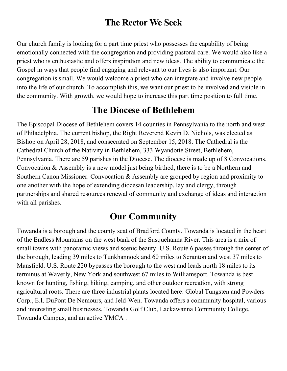### The Rector We Seek

Our church family is looking for a part time priest who possesses the capability of being emotionally connected with the congregation and providing pastoral care. We would also like a priest who is enthusiastic and offers inspiration and new ideas. The ability to communicate the Gospel in ways that people find engaging and relevant to our lives is also important. Our congregation is small. We would welcome a priest who can integrate and involve new people into the life of our church. To accomplish this, we want our priest to be involved and visible in the community. With growth, we would hope to increase this part time position to full time.

### The Diocese of Bethlehem

The Episcopal Diocese of Bethlehem covers 14 counties in Pennsylvania to the north and west of Philadelphia. The current bishop, the Right Reverend Kevin D. Nichols, was elected as Bishop on April 28, 2018, and consecrated on September 15, 2018. The Cathedral is the Cathedral Church of the Nativity in Bethlehem, 333 Wyandotte Street, Bethlehem, Pennsylvania. There are 59 parishes in the Diocese. The diocese is made up of 8 Convocations. Convocation & Assembly is a new model just being birthed, there is to be a Northern and Southern Canon Missioner. Convocation & Assembly are grouped by region and proximity to one another with the hope of extending diocesan leadership, lay and clergy, through partnerships and shared resources renewal of community and exchange of ideas and interaction with all parishes.

### Our Community

Towanda is a borough and the county seat of Bradford County. Towanda is located in the heart of the Endless Mountains on the west bank of the Susquehanna River. This area is a mix of small towns with panoramic views and scenic beauty. U.S. Route 6 passes through the center of the borough, leading 39 miles to Tunkhannock and 60 miles to Scranton and west 37 miles to Mansfield. U.S. Route 220 bypasses the borough to the west and leads north 18 miles to its terminus at Waverly, New York and southwest 67 miles to Williamsport. Towanda is best known for hunting, fishing, hiking, camping, and other outdoor recreation, with strong agricultural roots. There are three industrial plants located here: Global Tungsten and Powders Corp., E.I. DuPont De Nemours, and Jeld-Wen. Towanda offers a community hospital, various and interesting small businesses, Towanda Golf Club, Lackawanna Community College, Towanda Campus, and an active YMCA .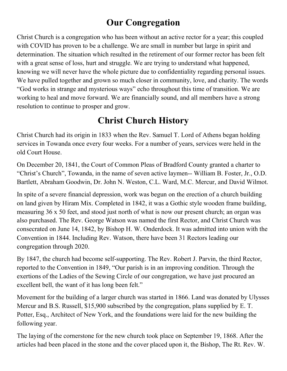### Our Congregation

Christ Church is a congregation who has been without an active rector for a year; this coupled with COVID has proven to be a challenge. We are small in number but large in spirit and determination. The situation which resulted in the retirement of our former rector has been felt with a great sense of loss, hurt and struggle. We are trying to understand what happened, knowing we will never have the whole picture due to confidentiality regarding personal issues. We have pulled together and grown so much closer in community, love, and charity. The words "God works in strange and mysterious ways" echo throughout this time of transition. We are working to heal and move forward. We are financially sound, and all members have a strong resolution to continue to prosper and grow.

### Christ Church History

Christ Church had its origin in 1833 when the Rev. Samuel T. Lord of Athens began holding services in Towanda once every four weeks. For a number of years, services were held in the old Court House.

On December 20, 1841, the Court of Common Pleas of Bradford County granted a charter to "Christ's Church", Towanda, in the name of seven active laymen-- William B. Foster, Jr., O.D. Bartlett, Abraham Goodwin, Dr. John N. Weston, C.L. Ward, M.C. Mercur, and David Wilmot.

In spite of a severe financial depression, work was begun on the erection of a church building on land given by Hiram Mix. Completed in 1842, it was a Gothic style wooden frame building, measuring 36 x 50 feet, and stood just north of what is now our present church; an organ was also purchased. The Rev. George Watson was named the first Rector, and Christ Church was consecrated on June 14, 1842, by Bishop H. W. Onderdock. It was admitted into union with the Convention in 1844. Including Rev. Watson, there have been 31 Rectors leading our congregation through 2020.

By 1847, the church had become self-supporting. The Rev. Robert J. Parvin, the third Rector, reported to the Convention in 1849, "Our parish is in an improving condition. Through the exertions of the Ladies of the Sewing Circle of our congregation, we have just procured an excellent bell, the want of it has long been felt."

Movement for the building of a larger church was started in 1866. Land was donated by Ulysses Mercur and B.S. Russell, \$15,900 subscribed by the congregation, plans supplied by E. T. Potter, Esq., Architect of New York, and the foundations were laid for the new building the following year.

The laying of the cornerstone for the new church took place on September 19, 1868. After the articles had been placed in the stone and the cover placed upon it, the Bishop, The Rt. Rev. W.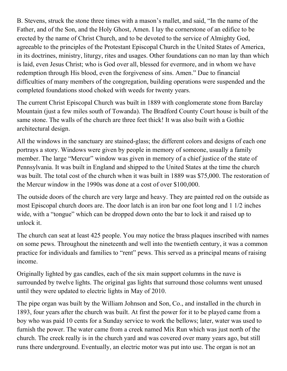B. Stevens, struck the stone three times with a mason's mallet, and said, "In the name of the Father, and of the Son, and the Holy Ghost, Amen. I lay the cornerstone of an edifice to be erected by the name of Christ Church, and to be devoted to the service of Almighty God, agreeable to the principles of the Protestant Episcopal Church in the United States of America, in its doctrines, ministry, liturgy, rites and usages. Other foundations can no man lay than which is laid, even Jesus Christ; who is God over all, blessed for evermore, and in whom we have redemption through His blood, even the forgiveness of sins. Amen." Due to financial difficulties of many members of the congregation, building operations were suspended and the completed foundations stood choked with weeds for twenty years.

The current Christ Episcopal Church was built in 1889 with conglomerate stone from Barclay Mountain (just a few miles south of Towanda). The Bradford County Court house is built of the same stone. The walls of the church are three feet thick! It was also built with a Gothic architectural design.

All the windows in the sanctuary are stained-glass; the different colors and designs of each one portrays a story. Windows were given by people in memory of someone, usually a family member. The large "Mercur" window was given in memory of a chief justice of the state of Pennsylvania. It was built in England and shipped to the United States at the time the church was built. The total cost of the church when it was built in 1889 was \$75,000. The restoration of the Mercur window in the 1990s was done at a cost of over \$100,000.

The outside doors of the church are very large and heavy. They are painted red on the outside as most Episcopal church doors are. The door latch is an iron bar one foot long and 1 1/2 inches wide, with a "tongue" which can be dropped down onto the bar to lock it and raised up to unlock it.

The church can seat at least 425 people. You may notice the brass plaques inscribed with names on some pews. Throughout the nineteenth and well into the twentieth century, it was a common practice for individuals and families to "rent" pews. This served as a principal means of raising income.

Originally lighted by gas candles, each of the six main support columns in the nave is surrounded by twelve lights. The original gas lights that surround those columns went unused until they were updated to electric lights in May of 2010.

The pipe organ was built by the William Johnson and Son, Co., and installed in the church in 1893, four years after the church was built. At first the power for it to be played came from a boy who was paid 10 cents for a Sunday service to work the bellows; later, water was used to furnish the power. The water came from a creek named Mix Run which was just north of the church. The creek really is in the church yard and was covered over many years ago, but still runs there underground. Eventually, an electric motor was put into use. The organ is not an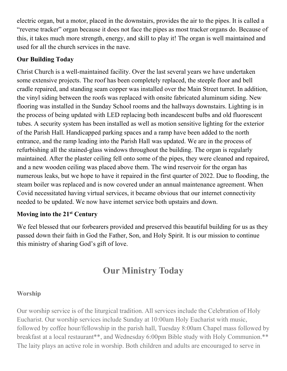electric organ, but a motor, placed in the downstairs, provides the air to the pipes. It is called a "reverse tracker" organ because it does not face the pipes as most tracker organs do. Because of this, it takes much more strength, energy, and skill to play it! The organ is well maintained and used for all the church services in the nave.

#### Our Building Today

Christ Church is a well-maintained facility. Over the last several years we have undertaken some extensive projects. The roof has been completely replaced, the steeple floor and bell cradle repaired, and standing seam copper was installed over the Main Street turret. In addition, the vinyl siding between the roofs was replaced with onsite fabricated aluminum siding. New flooring was installed in the Sunday School rooms and the hallways downstairs. Lighting is in the process of being updated with LED replacing both incandescent bulbs and old fluorescent tubes. A security system has been installed as well as motion sensitive lighting for the exterior of the Parish Hall. Handicapped parking spaces and a ramp have been added to the north entrance, and the ramp leading into the Parish Hall was updated. We are in the process of refurbishing all the stained-glass windows throughout the building. The organ is regularly maintained. After the plaster ceiling fell onto some of the pipes, they were cleaned and repaired, and a new wooden ceiling was placed above them. The wind reservoir for the organ has numerous leaks, but we hope to have it repaired in the first quarter of 2022. Due to flooding, the steam boiler was replaced and is now covered under an annual maintenance agreement. When Covid necessitated having virtual services, it became obvious that our internet connectivity needed to be updated. We now have internet service both upstairs and down.

#### Moving into the 21<sup>st</sup> Century

We feel blessed that our forbearers provided and preserved this beautiful building for us as they passed down their faith in God the Father, Son, and Holy Spirit. It is our mission to continue this ministry of sharing God's gift of love.

### Our Ministry Today

#### Worship

Our worship service is of the liturgical tradition. All services include the Celebration of Holy Eucharist. Our worship services include Sunday at 10:00am Holy Eucharist with music, followed by coffee hour/fellowship in the parish hall, Tuesday 8:00am Chapel mass followed by breakfast at a local restaurant\*\*, and Wednesday 6:00pm Bible study with Holy Communion.\*\* The laity plays an active role in worship. Both children and adults are encouraged to serve in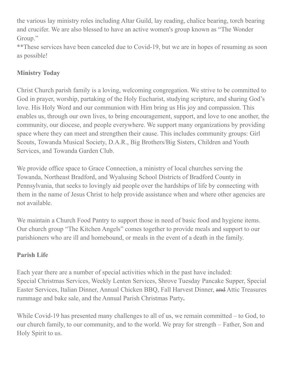the various lay ministry roles including Altar Guild, lay reading, chalice bearing, torch bearing and crucifer. We are also blessed to have an active women's group known as "The Wonder Group."

\*\*These services have been canceled due to Covid-19, but we are in hopes of resuming as soon as possible!

#### Ministry Today

Christ Church parish family is a loving, welcoming congregation. We strive to be committed to God in prayer, worship, partaking of the Holy Eucharist, studying scripture, and sharing God's love. His Holy Word and our communion with Him bring us His joy and compassion. This enables us, through our own lives, to bring encouragement, support, and love to one another, the community, our diocese, and people everywhere. We support many organizations by providing space where they can meet and strengthen their cause. This includes community groups: Girl Scouts, Towanda Musical Society, D.A.R., Big Brothers/Big Sisters, Children and Youth Services, and Towanda Garden Club.

We provide office space to Grace Connection, a ministry of local churches serving the Towanda, Northeast Bradford, and Wyalusing School Districts of Bradford County in Pennsylvania, that seeks to lovingly aid people over the hardships of life by connecting with them in the name of Jesus Christ to help provide assistance when and where other agencies are not available.

We maintain a Church Food Pantry to support those in need of basic food and hygiene items. Our church group "The Kitchen Angels" comes together to provide meals and support to our parishioners who are ill and homebound, or meals in the event of a death in the family.

#### Parish Life

Each year there are a number of special activities which in the past have included: Special Christmas Services, Weekly Lenten Services, Shrove Tuesday Pancake Supper, Special Easter Services, Italian Dinner, Annual Chicken BBQ, Fall Harvest Dinner, and Attic Treasures rummage and bake sale, and the Annual Parish Christmas Party.

While Covid-19 has presented many challenges to all of us, we remain committed – to God, to our church family, to our community, and to the world. We pray for strength – Father, Son and Holy Spirit to us.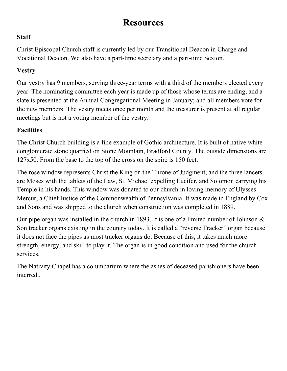### Resources

#### **Staff**

Christ Episcopal Church staff is currently led by our Transitional Deacon in Charge and Vocational Deacon. We also have a part-time secretary and a part-time Sexton.

#### Vestry

Our vestry has 9 members, serving three-year terms with a third of the members elected every year. The nominating committee each year is made up of those whose terms are ending, and a slate is presented at the Annual Congregational Meeting in January; and all members vote for the new members. The vestry meets once per month and the treasurer is present at all regular meetings but is not a voting member of the vestry.

#### **Facilities**

The Christ Church building is a fine example of Gothic architecture. It is built of native white conglomerate stone quarried on Stone Mountain, Bradford County. The outside dimensions are 127x50. From the base to the top of the cross on the spire is 150 feet.

The rose window represents Christ the King on the Throne of Judgment, and the three lancets are Moses with the tablets of the Law, St. Michael expelling Lucifer, and Solomon carrying his Temple in his hands. This window was donated to our church in loving memory of Ulysses Mercur, a Chief Justice of the Commonwealth of Pennsylvania. It was made in England by Cox and Sons and was shipped to the church when construction was completed in 1889.

Our pipe organ was installed in the church in 1893. It is one of a limited number of Johnson  $\&$ Son tracker organs existing in the country today. It is called a "reverse Tracker" organ because it does not face the pipes as most tracker organs do. Because of this, it takes much more strength, energy, and skill to play it. The organ is in good condition and used for the church services.

The Nativity Chapel has a columbarium where the ashes of deceased parishioners have been interred..